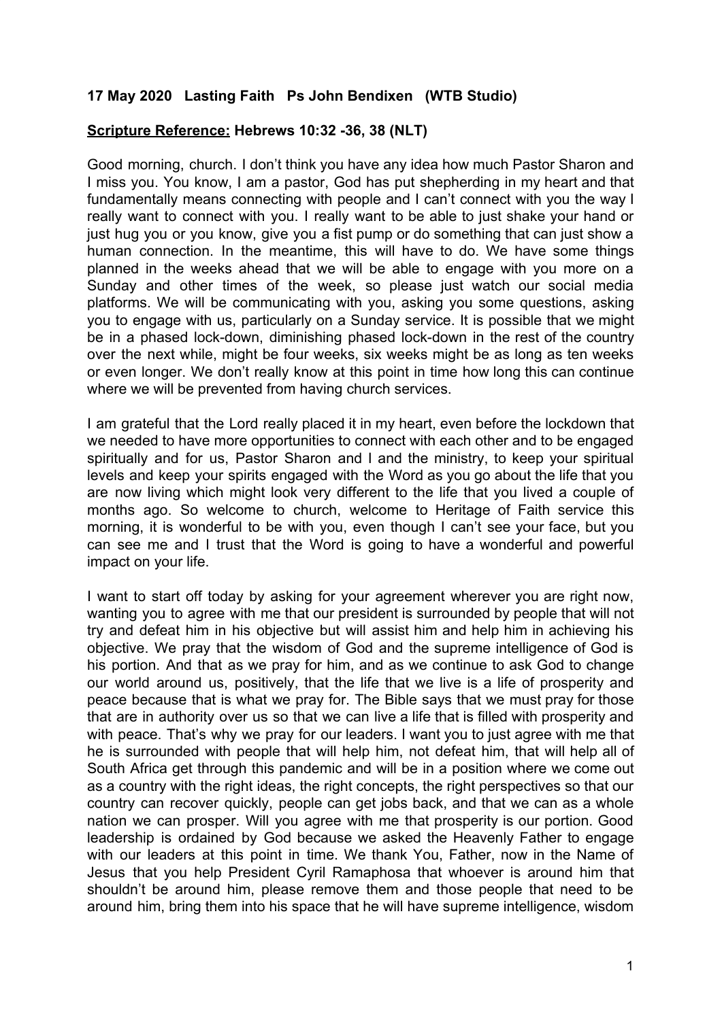## **17 May 2020 Lasting Faith Ps John Bendixen (WTB Studio)**

## **Scripture Reference: Hebrews 10:32 -36, 38 (NLT)**

Good morning, church. I don't think you have any idea how much Pastor Sharon and I miss you. You know, I am a pastor, God has put shepherding in my heart and that fundamentally means connecting with people and I can't connect with you the way I really want to connect with you. I really want to be able to just shake your hand or just hug you or you know, give you a fist pump or do something that can just show a human connection. In the meantime, this will have to do. We have some things planned in the weeks ahead that we will be able to engage with you more on a Sunday and other times of the week, so please just watch our social media platforms. We will be communicating with you, asking you some questions, asking you to engage with us, particularly on a Sunday service. It is possible that we might be in a phased lock-down, diminishing phased lock-down in the rest of the country over the next while, might be four weeks, six weeks might be as long as ten weeks or even longer. We don't really know at this point in time how long this can continue where we will be prevented from having church services.

I am grateful that the Lord really placed it in my heart, even before the lockdown that we needed to have more opportunities to connect with each other and to be engaged spiritually and for us, Pastor Sharon and I and the ministry, to keep your spiritual levels and keep your spirits engaged with the Word as you go about the life that you are now living which might look very different to the life that you lived a couple of months ago. So welcome to church, welcome to Heritage of Faith service this morning, it is wonderful to be with you, even though I can't see your face, but you can see me and I trust that the Word is going to have a wonderful and powerful impact on your life.

I want to start off today by asking for your agreement wherever you are right now, wanting you to agree with me that our president is surrounded by people that will not try and defeat him in his objective but will assist him and help him in achieving his objective. We pray that the wisdom of God and the supreme intelligence of God is his portion. And that as we pray for him, and as we continue to ask God to change our world around us, positively, that the life that we live is a life of prosperity and peace because that is what we pray for. The Bible says that we must pray for those that are in authority over us so that we can live a life that is filled with prosperity and with peace. That's why we pray for our leaders. I want you to just agree with me that he is surrounded with people that will help him, not defeat him, that will help all of South Africa get through this pandemic and will be in a position where we come out as a country with the right ideas, the right concepts, the right perspectives so that our country can recover quickly, people can get jobs back, and that we can as a whole nation we can prosper. Will you agree with me that prosperity is our portion. Good leadership is ordained by God because we asked the Heavenly Father to engage with our leaders at this point in time. We thank You, Father, now in the Name of Jesus that you help President Cyril Ramaphosa that whoever is around him that shouldn't be around him, please remove them and those people that need to be around him, bring them into his space that he will have supreme intelligence, wisdom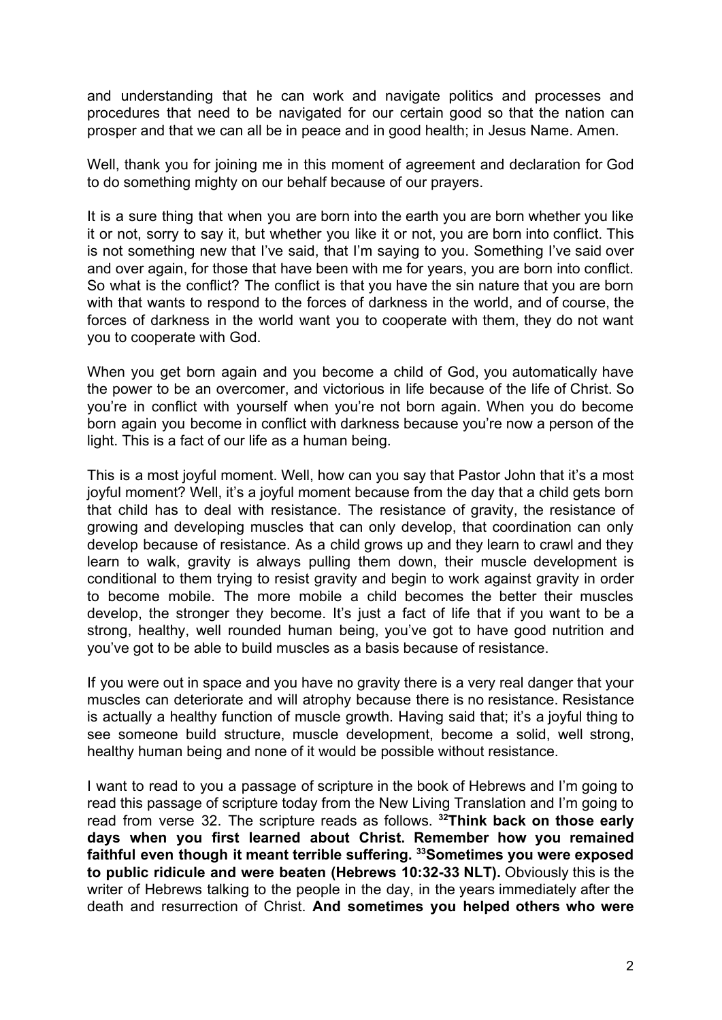and understanding that he can work and navigate politics and processes and procedures that need to be navigated for our certain good so that the nation can prosper and that we can all be in peace and in good health; in Jesus Name. Amen.

Well, thank you for joining me in this moment of agreement and declaration for God to do something mighty on our behalf because of our prayers.

It is a sure thing that when you are born into the earth you are born whether you like it or not, sorry to say it, but whether you like it or not, you are born into conflict. This is not something new that I've said, that I'm saying to you. Something I've said over and over again, for those that have been with me for years, you are born into conflict. So what is the conflict? The conflict is that you have the sin nature that you are born with that wants to respond to the forces of darkness in the world, and of course, the forces of darkness in the world want you to cooperate with them, they do not want you to cooperate with God.

When you get born again and you become a child of God, you automatically have the power to be an overcomer, and victorious in life because of the life of Christ. So you're in conflict with yourself when you're not born again. When you do become born again you become in conflict with darkness because you're now a person of the light. This is a fact of our life as a human being.

This is a most joyful moment. Well, how can you say that Pastor John that it's a most joyful moment? Well, it's a joyful moment because from the day that a child gets born that child has to deal with resistance. The resistance of gravity, the resistance of growing and developing muscles that can only develop, that coordination can only develop because of resistance. As a child grows up and they learn to crawl and they learn to walk, gravity is always pulling them down, their muscle development is conditional to them trying to resist gravity and begin to work against gravity in order to become mobile. The more mobile a child becomes the better their muscles develop, the stronger they become. It's just a fact of life that if you want to be a strong, healthy, well rounded human being, you've got to have good nutrition and you've got to be able to build muscles as a basis because of resistance.

If you were out in space and you have no gravity there is a very real danger that your muscles can deteriorate and will atrophy because there is no resistance. Resistance is actually a healthy function of muscle growth. Having said that; it's a joyful thing to see someone build structure, muscle development, become a solid, well strong, healthy human being and none of it would be possible without resistance.

I want to read to you a passage of scripture in the book of Hebrews and I'm going to read this passage of scripture today from the New Living Translation and I'm going to read from verse 32. The scripture reads as follows. **<sup>32</sup>Think back on those early days when you first learned about Christ. Remember how you remained faithful even though it meant terrible suffering. <sup>33</sup>Sometimes you were exposed to public ridicule and were beaten (Hebrews 10:32-33 NLT).** Obviously this is the writer of Hebrews talking to the people in the day, in the years immediately after the death and resurrection of Christ. **And sometimes you helped others who were**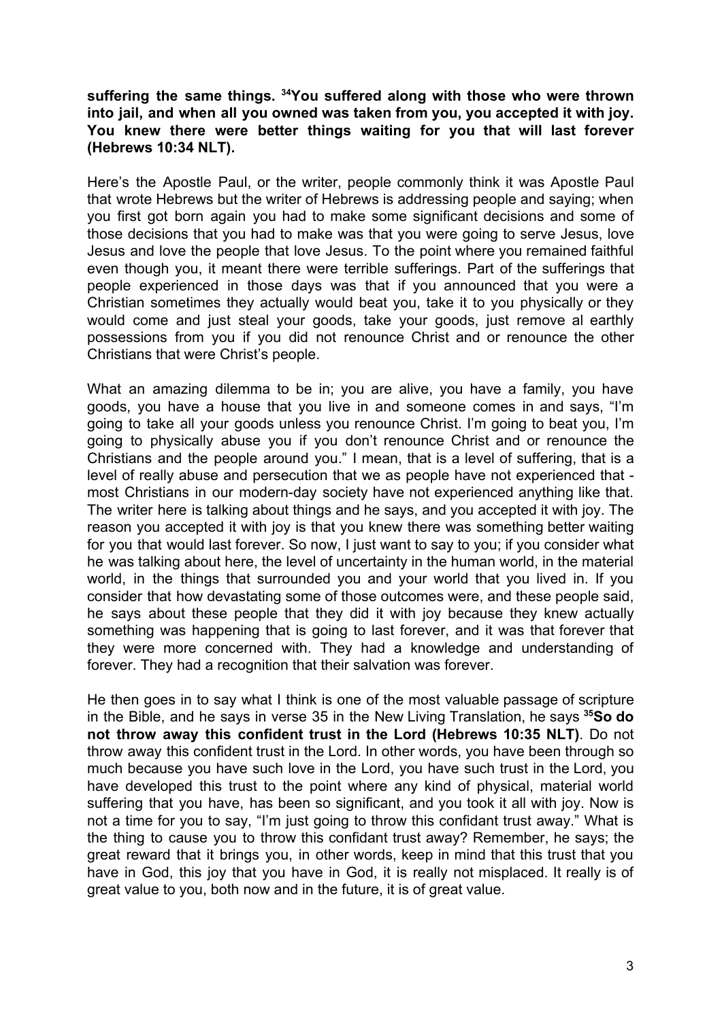## **suffering the same things. <sup>34</sup>You suffered along with those who were thrown into jail, and when all you owned was taken from you, you accepted it with joy. You knew there were better things waiting for you that will last forever (Hebrews 10:34 NLT).**

Here's the Apostle Paul, or the writer, people commonly think it was Apostle Paul that wrote Hebrews but the writer of Hebrews is addressing people and saying; when you first got born again you had to make some significant decisions and some of those decisions that you had to make was that you were going to serve Jesus, love Jesus and love the people that love Jesus. To the point where you remained faithful even though you, it meant there were terrible sufferings. Part of the sufferings that people experienced in those days was that if you announced that you were a Christian sometimes they actually would beat you, take it to you physically or they would come and just steal your goods, take your goods, just remove al earthly possessions from you if you did not renounce Christ and or renounce the other Christians that were Christ's people.

What an amazing dilemma to be in; you are alive, you have a family, you have goods, you have a house that you live in and someone comes in and says, "I'm going to take all your goods unless you renounce Christ. I'm going to beat you, I'm going to physically abuse you if you don't renounce Christ and or renounce the Christians and the people around you." I mean, that is a level of suffering, that is a level of really abuse and persecution that we as people have not experienced that most Christians in our modern-day society have not experienced anything like that. The writer here is talking about things and he says, and you accepted it with joy. The reason you accepted it with joy is that you knew there was something better waiting for you that would last forever. So now, I just want to say to you; if you consider what he was talking about here, the level of uncertainty in the human world, in the material world, in the things that surrounded you and your world that you lived in. If you consider that how devastating some of those outcomes were, and these people said, he says about these people that they did it with joy because they knew actually something was happening that is going to last forever, and it was that forever that they were more concerned with. They had a knowledge and understanding of forever. They had a recognition that their salvation was forever.

He then goes in to say what I think is one of the most valuable passage of scripture in the Bible, and he says in verse 35 in the New Living Translation, he says **<sup>35</sup>So do not throw away this confident trust in the Lord (Hebrews 10:35 NLT)**. Do not throw away this confident trust in the Lord. In other words, you have been through so much because you have such love in the Lord, you have such trust in the Lord, you have developed this trust to the point where any kind of physical, material world suffering that you have, has been so significant, and you took it all with joy. Now is not a time for you to say, "I'm just going to throw this confidant trust away." What is the thing to cause you to throw this confidant trust away? Remember, he says; the great reward that it brings you, in other words, keep in mind that this trust that you have in God, this joy that you have in God, it is really not misplaced. It really is of great value to you, both now and in the future, it is of great value.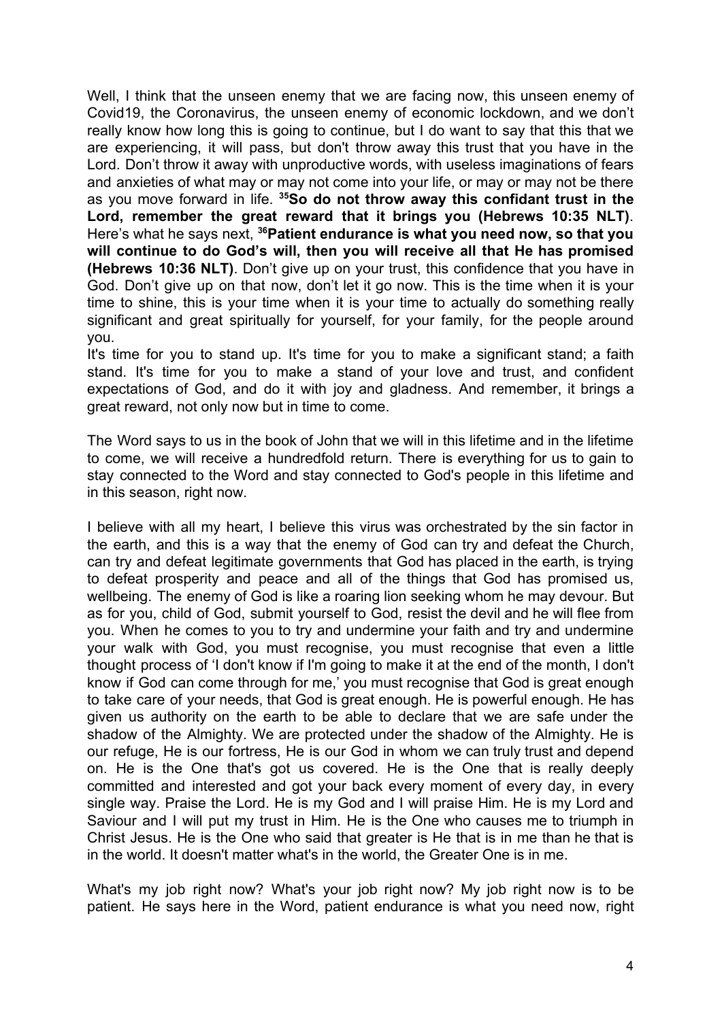Well, I think that the unseen enemy that we are facing now, this unseen enemy of Covid19, the Coronavirus, the unseen enemy of economic lockdown, and we don't really know how long this is going to continue, but I do want to say that this that we are experiencing, it will pass, but don't throw away this trust that you have in the Lord. Don't throw it away with unproductive words, with useless imaginations of fears and anxieties of what may or may not come into your life, or may or may not be there as you move forward in life. **<sup>35</sup>So do not throw away this confidant trust in the Lord, remember the great reward that it brings you (Hebrews 10:35 NLT)**. Here's what he says next, **<sup>36</sup>Patient endurance is what you need now, so that you will continue to do God's will, then you will receive all that He has promised (Hebrews 10:36 NLT)**. Don't give up on your trust, this confidence that you have in God. Don't give up on that now, don't let it go now. This is the time when it is your time to shine, this is your time when it is your time to actually do something really significant and great spiritually for yourself, for your family, for the people around you.

It's time for you to stand up. It's time for you to make a significant stand; a faith stand. It's time for you to make a stand of your love and trust, and confident expectations of God, and do it with joy and gladness. And remember, it brings a great reward, not only now but in time to come.

The Word says to us in the book of John that we will in this lifetime and in the lifetime to come, we will receive a hundredfold return. There is everything for us to gain to stay connected to the Word and stay connected to God's people in this lifetime and in this season, right now.

I believe with all my heart, I believe this virus was orchestrated by the sin factor in the earth, and this is a way that the enemy of God can try and defeat the Church, can try and defeat legitimate governments that God has placed in the earth, is trying to defeat prosperity and peace and all of the things that God has promised us, wellbeing. The enemy of God is like a roaring lion seeking whom he may devour. But as for you, child of God, submit yourself to God, resist the devil and he will flee from you. When he comes to you to try and undermine your faith and try and undermine your walk with God, you must recognise, you must recognise that even a little thought process of 'I don't know if I'm going to make it at the end of the month, I don't know if God can come through for me,' you must recognise that God is great enough to take care of your needs, that God is great enough. He is powerful enough. He has given us authority on the earth to be able to declare that we are safe under the shadow of the Almighty. We are protected under the shadow of the Almighty. He is our refuge, He is our fortress, He is our God in whom we can truly trust and depend on. He is the One that's got us covered. He is the One that is really deeply committed and interested and got your back every moment of every day, in every single way. Praise the Lord. He is my God and I will praise Him. He is my Lord and Saviour and I will put my trust in Him. He is the One who causes me to triumph in Christ Jesus. He is the One who said that greater is He that is in me than he that is in the world. It doesn't matter what's in the world, the Greater One is in me.

What's my job right now? What's your job right now? My job right now is to be patient. He says here in the Word, patient endurance is what you need now, right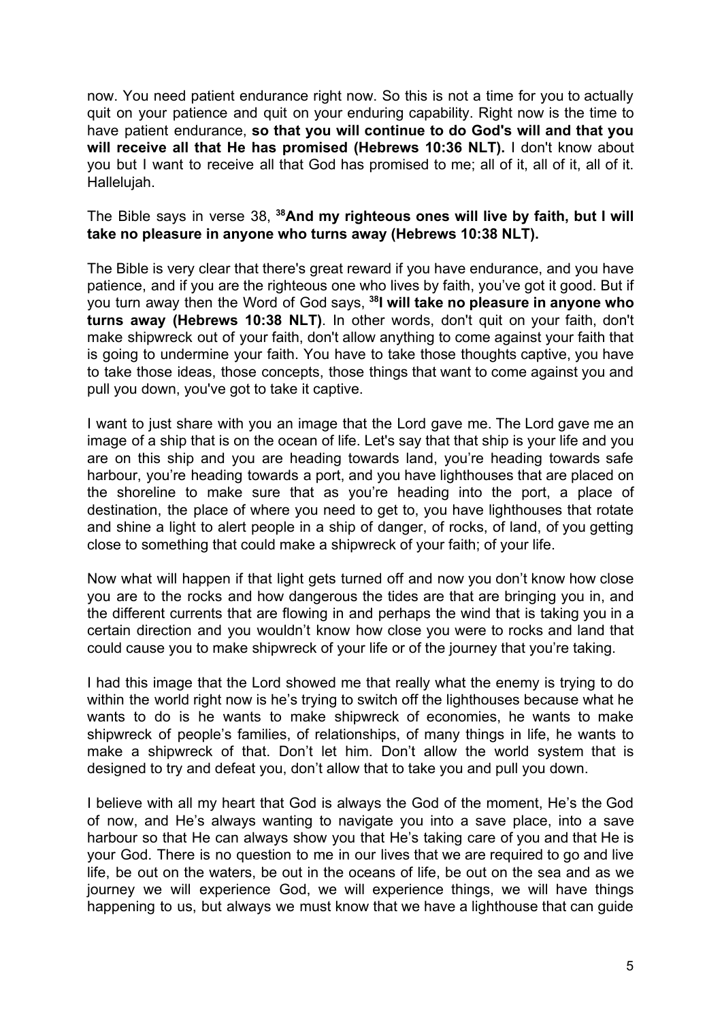now. You need patient endurance right now. So this is not a time for you to actually quit on your patience and quit on your enduring capability. Right now is the time to have patient endurance, **so that you will continue to do God's will and that you will receive all that He has promised (Hebrews 10:36 NLT).** I don't know about you but I want to receive all that God has promised to me; all of it, all of it, all of it. Hallelujah.

The Bible says in verse 38, **<sup>38</sup>And my righteous ones will live by faith, but I will take no pleasure in anyone who turns away (Hebrews 10:38 NLT).**

The Bible is very clear that there's great reward if you have endurance, and you have patience, and if you are the righteous one who lives by faith, you've got it good. But if you turn away then the Word of God says, **<sup>38</sup> I will take no pleasure in anyone who turns away (Hebrews 10:38 NLT)**. In other words, don't quit on your faith, don't make shipwreck out of your faith, don't allow anything to come against your faith that is going to undermine your faith. You have to take those thoughts captive, you have to take those ideas, those concepts, those things that want to come against you and pull you down, you've got to take it captive.

I want to just share with you an image that the Lord gave me. The Lord gave me an image of a ship that is on the ocean of life. Let's say that that ship is your life and you are on this ship and you are heading towards land, you're heading towards safe harbour, you're heading towards a port, and you have lighthouses that are placed on the shoreline to make sure that as you're heading into the port, a place of destination, the place of where you need to get to, you have lighthouses that rotate and shine a light to alert people in a ship of danger, of rocks, of land, of you getting close to something that could make a shipwreck of your faith; of your life.

Now what will happen if that light gets turned off and now you don't know how close you are to the rocks and how dangerous the tides are that are bringing you in, and the different currents that are flowing in and perhaps the wind that is taking you in a certain direction and you wouldn't know how close you were to rocks and land that could cause you to make shipwreck of your life or of the journey that you're taking.

I had this image that the Lord showed me that really what the enemy is trying to do within the world right now is he's trying to switch off the lighthouses because what he wants to do is he wants to make shipwreck of economies, he wants to make shipwreck of people's families, of relationships, of many things in life, he wants to make a shipwreck of that. Don't let him. Don't allow the world system that is designed to try and defeat you, don't allow that to take you and pull you down.

I believe with all my heart that God is always the God of the moment, He's the God of now, and He's always wanting to navigate you into a save place, into a save harbour so that He can always show you that He's taking care of you and that He is your God. There is no question to me in our lives that we are required to go and live life, be out on the waters, be out in the oceans of life, be out on the sea and as we journey we will experience God, we will experience things, we will have things happening to us, but always we must know that we have a lighthouse that can guide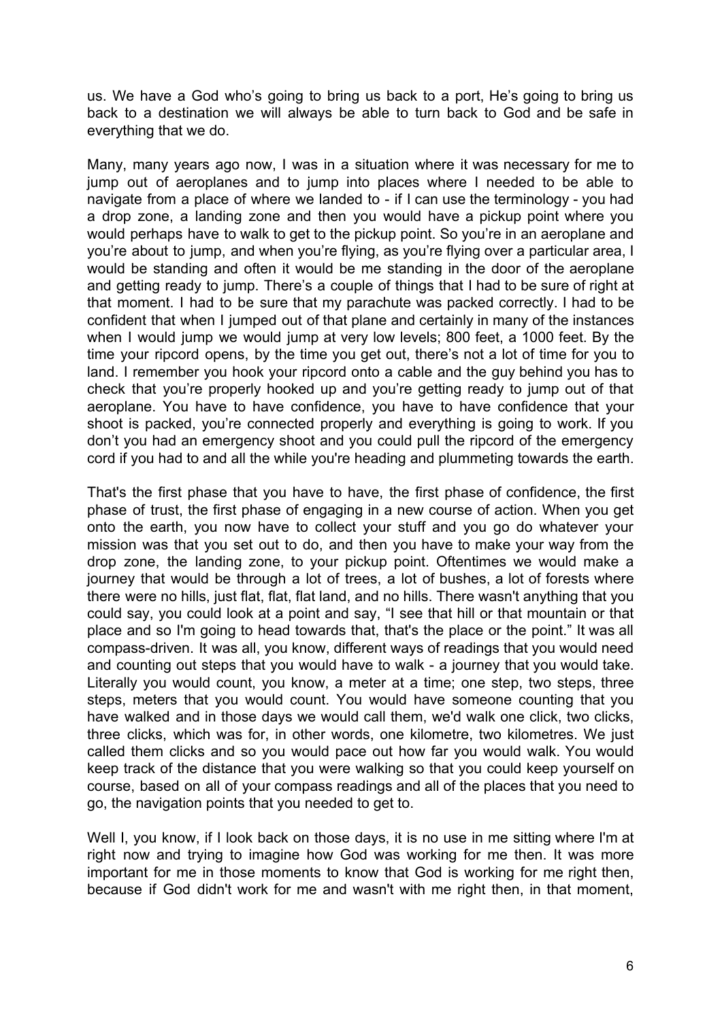us. We have a God who's going to bring us back to a port, He's going to bring us back to a destination we will always be able to turn back to God and be safe in everything that we do.

Many, many years ago now, I was in a situation where it was necessary for me to jump out of aeroplanes and to jump into places where I needed to be able to navigate from a place of where we landed to - if I can use the terminology - you had a drop zone, a landing zone and then you would have a pickup point where you would perhaps have to walk to get to the pickup point. So you're in an aeroplane and you're about to jump, and when you're flying, as you're flying over a particular area, I would be standing and often it would be me standing in the door of the aeroplane and getting ready to jump. There's a couple of things that I had to be sure of right at that moment. I had to be sure that my parachute was packed correctly. I had to be confident that when I jumped out of that plane and certainly in many of the instances when I would jump we would jump at very low levels; 800 feet, a 1000 feet. By the time your ripcord opens, by the time you get out, there's not a lot of time for you to land. I remember you hook your ripcord onto a cable and the guy behind you has to check that you're properly hooked up and you're getting ready to jump out of that aeroplane. You have to have confidence, you have to have confidence that your shoot is packed, you're connected properly and everything is going to work. If you don't you had an emergency shoot and you could pull the ripcord of the emergency cord if you had to and all the while you're heading and plummeting towards the earth.

That's the first phase that you have to have, the first phase of confidence, the first phase of trust, the first phase of engaging in a new course of action. When you get onto the earth, you now have to collect your stuff and you go do whatever your mission was that you set out to do, and then you have to make your way from the drop zone, the landing zone, to your pickup point. Oftentimes we would make a journey that would be through a lot of trees, a lot of bushes, a lot of forests where there were no hills, just flat, flat, flat land, and no hills. There wasn't anything that you could say, you could look at a point and say, "I see that hill or that mountain or that place and so I'm going to head towards that, that's the place or the point." It was all compass-driven. It was all, you know, different ways of readings that you would need and counting out steps that you would have to walk - a journey that you would take. Literally you would count, you know, a meter at a time; one step, two steps, three steps, meters that you would count. You would have someone counting that you have walked and in those days we would call them, we'd walk one click, two clicks, three clicks, which was for, in other words, one kilometre, two kilometres. We just called them clicks and so you would pace out how far you would walk. You would keep track of the distance that you were walking so that you could keep yourself on course, based on all of your compass readings and all of the places that you need to go, the navigation points that you needed to get to.

Well I, you know, if I look back on those days, it is no use in me sitting where I'm at right now and trying to imagine how God was working for me then. It was more important for me in those moments to know that God is working for me right then, because if God didn't work for me and wasn't with me right then, in that moment,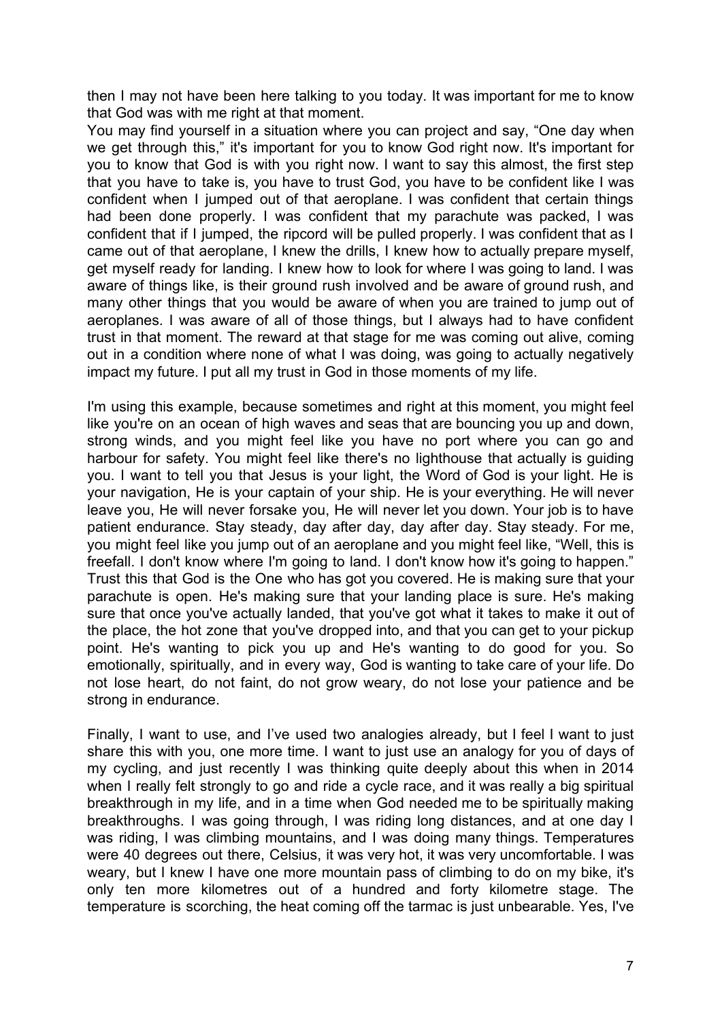then I may not have been here talking to you today. It was important for me to know that God was with me right at that moment.

You may find yourself in a situation where you can project and say, "One day when we get through this," it's important for you to know God right now. It's important for you to know that God is with you right now. I want to say this almost, the first step that you have to take is, you have to trust God, you have to be confident like I was confident when I jumped out of that aeroplane. I was confident that certain things had been done properly. I was confident that my parachute was packed, I was confident that if I jumped, the ripcord will be pulled properly. I was confident that as I came out of that aeroplane, I knew the drills, I knew how to actually prepare myself, get myself ready for landing. I knew how to look for where I was going to land. I was aware of things like, is their ground rush involved and be aware of ground rush, and many other things that you would be aware of when you are trained to jump out of aeroplanes. I was aware of all of those things, but I always had to have confident trust in that moment. The reward at that stage for me was coming out alive, coming out in a condition where none of what I was doing, was going to actually negatively impact my future. I put all my trust in God in those moments of my life.

I'm using this example, because sometimes and right at this moment, you might feel like you're on an ocean of high waves and seas that are bouncing you up and down, strong winds, and you might feel like you have no port where you can go and harbour for safety. You might feel like there's no lighthouse that actually is guiding you. I want to tell you that Jesus is your light, the Word of God is your light. He is your navigation, He is your captain of your ship. He is your everything. He will never leave you, He will never forsake you, He will never let you down. Your job is to have patient endurance. Stay steady, day after day, day after day. Stay steady. For me, you might feel like you jump out of an aeroplane and you might feel like, "Well, this is freefall. I don't know where I'm going to land. I don't know how it's going to happen." Trust this that God is the One who has got you covered. He is making sure that your parachute is open. He's making sure that your landing place is sure. He's making sure that once you've actually landed, that you've got what it takes to make it out of the place, the hot zone that you've dropped into, and that you can get to your pickup point. He's wanting to pick you up and He's wanting to do good for you. So emotionally, spiritually, and in every way, God is wanting to take care of your life. Do not lose heart, do not faint, do not grow weary, do not lose your patience and be strong in endurance.

Finally, I want to use, and I've used two analogies already, but I feel I want to just share this with you, one more time. I want to just use an analogy for you of days of my cycling, and just recently I was thinking quite deeply about this when in 2014 when I really felt strongly to go and ride a cycle race, and it was really a big spiritual breakthrough in my life, and in a time when God needed me to be spiritually making breakthroughs. I was going through, I was riding long distances, and at one day I was riding, I was climbing mountains, and I was doing many things. Temperatures were 40 degrees out there, Celsius, it was very hot, it was very uncomfortable. I was weary, but I knew I have one more mountain pass of climbing to do on my bike, it's only ten more kilometres out of a hundred and forty kilometre stage. The temperature is scorching, the heat coming off the tarmac is just unbearable. Yes, I've